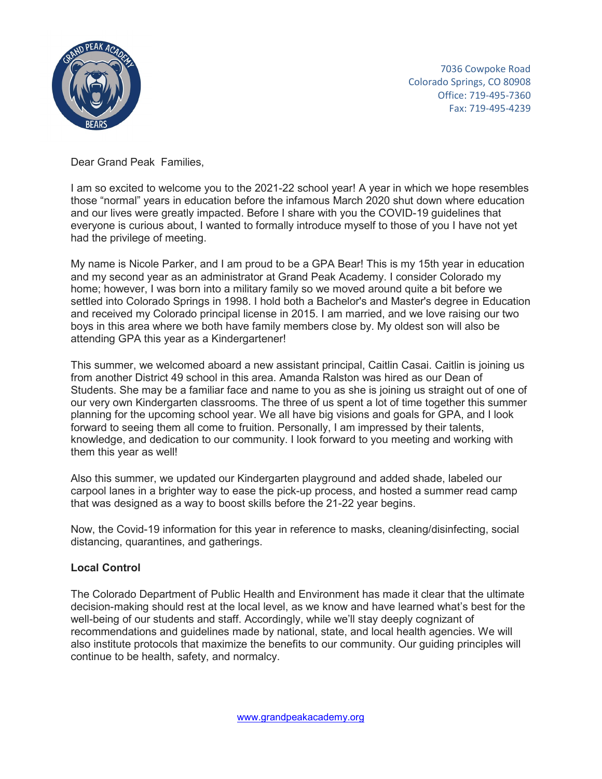

 7036 Cowpoke Road Colorado Springs, CO 80908 Office: 719-495-7360 Fax: 719-495-4239

Dear Grand Peak Families,

I am so excited to welcome you to the 2021-22 school year! A year in which we hope resembles those "normal" years in education before the infamous March 2020 shut down where education and our lives were greatly impacted. Before I share with you the COVID-19 guidelines that everyone is curious about, I wanted to formally introduce myself to those of you I have not yet had the privilege of meeting.

My name is Nicole Parker, and I am proud to be a GPA Bear! This is my 15th year in education and my second year as an administrator at Grand Peak Academy. I consider Colorado my home; however, I was born into a military family so we moved around quite a bit before we settled into Colorado Springs in 1998. I hold both a Bachelor's and Master's degree in Education and received my Colorado principal license in 2015. I am married, and we love raising our two boys in this area where we both have family members close by. My oldest son will also be attending GPA this year as a Kindergartener!

This summer, we welcomed aboard a new assistant principal, Caitlin Casai. Caitlin is joining us from another District 49 school in this area. Amanda Ralston was hired as our Dean of Students. She may be a familiar face and name to you as she is joining us straight out of one of our very own Kindergarten classrooms. The three of us spent a lot of time together this summer planning for the upcoming school year. We all have big visions and goals for GPA, and I look forward to seeing them all come to fruition. Personally, I am impressed by their talents, knowledge, and dedication to our community. I look forward to you meeting and working with them this year as well!

Also this summer, we updated our Kindergarten playground and added shade, labeled our carpool lanes in a brighter way to ease the pick-up process, and hosted a summer read camp that was designed as a way to boost skills before the 21-22 year begins.

Now, the Covid-19 information for this year in reference to masks, cleaning/disinfecting, social distancing, quarantines, and gatherings.

# **Local Control**

The Colorado Department of Public Health and Environment has made it clear that the ultimate decision-making should rest at the local level, as we know and have learned what's best for the well-being of our students and staff. Accordingly, while we'll stay deeply cognizant of recommendations and guidelines made by national, state, and local health agencies. We will also institute protocols that maximize the benefits to our community. Our guiding principles will continue to be health, safety, and normalcy.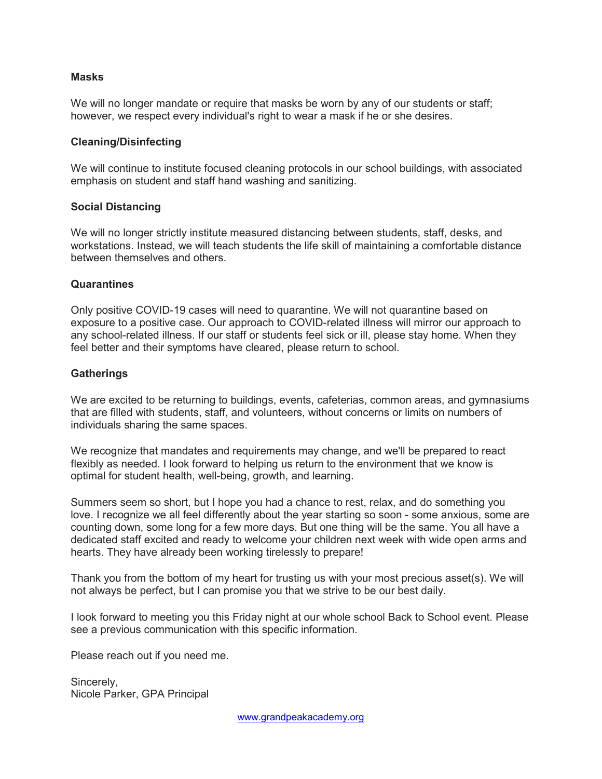## **Masks**

We will no longer mandate or require that masks be worn by any of our students or staff; however, we respect every individual's right to wear a mask if he or she desires.

## **Cleaning/Disinfecting**

We will continue to institute focused cleaning protocols in our school buildings, with associated emphasis on student and staff hand washing and sanitizing.

## **Social Distancing**

We will no longer strictly institute measured distancing between students, staff, desks, and workstations. Instead, we will teach students the life skill of maintaining a comfortable distance between themselves and others.

## **Quarantines**

Only positive COVID-19 cases will need to quarantine. We will not quarantine based on exposure to a positive case. Our approach to COVID-related illness will mirror our approach to any school-related illness. If our staff or students feel sick or ill, please stay home. When they feel better and their symptoms have cleared, please return to school.

## **Gatherings**

We are excited to be returning to buildings, events, cafeterias, common areas, and gymnasiums that are filled with students, staff, and volunteers, without concerns or limits on numbers of individuals sharing the same spaces.

We recognize that mandates and requirements may change, and we'll be prepared to react flexibly as needed. I look forward to helping us return to the environment that we know is optimal for student health, well-being, growth, and learning.

Summers seem so short, but I hope you had a chance to rest, relax, and do something you love. I recognize we all feel differently about the year starting so soon - some anxious, some are counting down, some long for a few more days. But one thing will be the same. You all have a dedicated staff excited and ready to welcome your children next week with wide open arms and hearts. They have already been working tirelessly to prepare!

Thank you from the bottom of my heart for trusting us with your most precious asset(s). We will not always be perfect, but I can promise you that we strive to be our best daily.

I look forward to meeting you this Friday night at our whole school Back to School event. Please see a previous communication with this specific information.

Please reach out if you need me.

Sincerely, Nicole Parker, GPA Principal